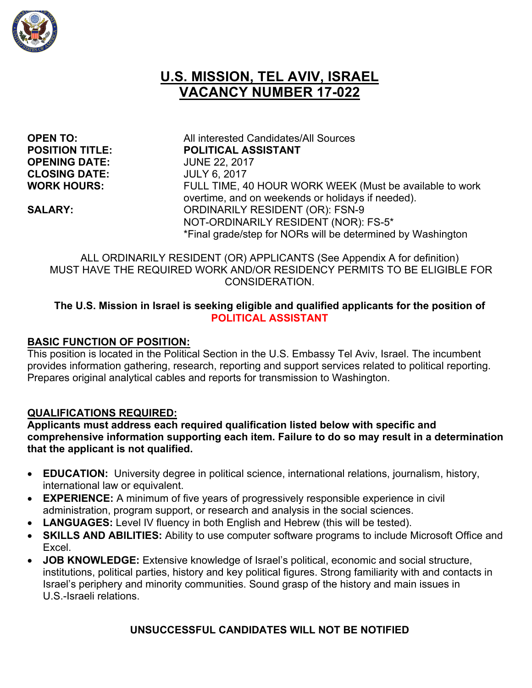

# **U.S. MISSION, TEL AVIV, ISRAEL VACANCY NUMBER 17-022**

**OPENING DATE:** JUNE 22, 2017 **CLOSING DATE:** JULY 6, 2017

**OPEN TO:** All interested Candidates/All Sources **POSITION TITLE: POLITICAL ASSISTANT WORK HOURS:** FULL TIME, 40 HOUR WORK WEEK (Must be available to work overtime, and on weekends or holidays if needed). **SALARY:** ORDINARILY RESIDENT (OR): FSN-9 NOT-ORDINARILY RESIDENT (NOR): FS-5\* \*Final grade/step for NORs will be determined by Washington

ALL ORDINARILY RESIDENT (OR) APPLICANTS (See Appendix A for definition) MUST HAVE THE REQUIRED WORK AND/OR RESIDENCY PERMITS TO BE ELIGIBLE FOR CONSIDERATION.

#### **The U.S. Mission in Israel is seeking eligible and qualified applicants for the position of POLITICAL ASSISTANT**

#### **BASIC FUNCTION OF POSITION:**

This position is located in the Political Section in the U.S. Embassy Tel Aviv, Israel. The incumbent provides information gathering, research, reporting and support services related to political reporting. Prepares original analytical cables and reports for transmission to Washington.

#### **QUALIFICATIONS REQUIRED:**

**Applicants must address each required qualification listed below with specific and comprehensive information supporting each item. Failure to do so may result in a determination that the applicant is not qualified.** 

- **EDUCATION:** University degree in political science, international relations, journalism, history, international law or equivalent.
- **EXPERIENCE:** A minimum of five years of progressively responsible experience in civil administration, program support, or research and analysis in the social sciences.
- **LANGUAGES:** Level IV fluency in both English and Hebrew (this will be tested).
- **SKILLS AND ABILITIES:** Ability to use computer software programs to include Microsoft Office and Excel.
- **JOB KNOWLEDGE:** Extensive knowledge of Israel's political, economic and social structure, institutions, political parties, history and key political figures. Strong familiarity with and contacts in Israel's periphery and minority communities. Sound grasp of the history and main issues in U.S.-Israeli relations.

#### **UNSUCCESSFUL CANDIDATES WILL NOT BE NOTIFIED**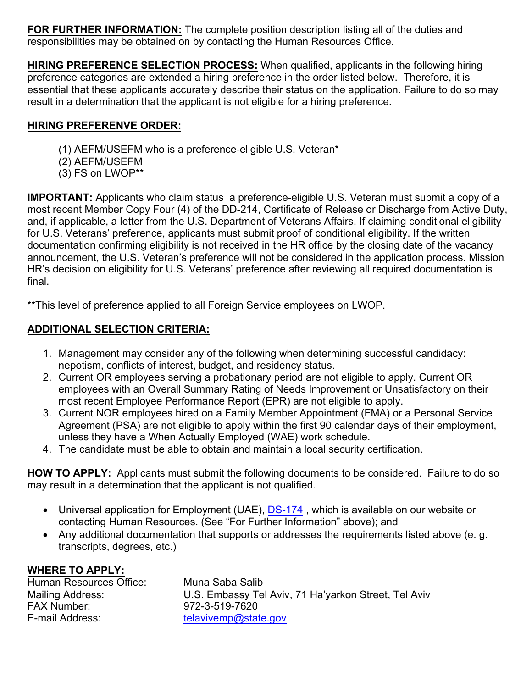**FOR FURTHER INFORMATION:** The complete position description listing all of the duties and responsibilities may be obtained on by contacting the Human Resources Office.

**HIRING PREFERENCE SELECTION PROCESS:** When qualified, applicants in the following hiring preference categories are extended a hiring preference in the order listed below. Therefore, it is essential that these applicants accurately describe their status on the application. Failure to do so may result in a determination that the applicant is not eligible for a hiring preference.

### **HIRING PREFERENVE ORDER:**

- (1) AEFM/USEFM who is a preference-eligible U.S. Veteran\*
- (2) AEFM/USEFM
- (3) FS on LWOP\*\*

**IMPORTANT:** Applicants who claim status a preference-eligible U.S. Veteran must submit a copy of a most recent Member Copy Four (4) of the DD-214, Certificate of Release or Discharge from Active Duty, and, if applicable, a letter from the U.S. Department of Veterans Affairs. If claiming conditional eligibility for U.S. Veterans' preference, applicants must submit proof of conditional eligibility. If the written documentation confirming eligibility is not received in the HR office by the closing date of the vacancy announcement, the U.S. Veteran's preference will not be considered in the application process. Mission HR's decision on eligibility for U.S. Veterans' preference after reviewing all required documentation is final.

\*\*This level of preference applied to all Foreign Service employees on LWOP.

# **ADDITIONAL SELECTION CRITERIA:**

- 1. Management may consider any of the following when determining successful candidacy: nepotism, conflicts of interest, budget, and residency status.
- 2. Current OR employees serving a probationary period are not eligible to apply. Current OR employees with an Overall Summary Rating of Needs Improvement or Unsatisfactory on their most recent Employee Performance Report (EPR) are not eligible to apply.
- 3. Current NOR employees hired on a Family Member Appointment (FMA) or a Personal Service Agreement (PSA) are not eligible to apply within the first 90 calendar days of their employment, unless they have a When Actually Employed (WAE) work schedule.
- 4. The candidate must be able to obtain and maintain a local security certification.

**HOW TO APPLY:** Applicants must submit the following documents to be considered. Failure to do so may result in a determination that the applicant is not qualified.

- Universal application for Employment (UAE), DS-174, which is available on our website or contacting Human Resources. (See "For Further Information" above); and
- Any additional documentation that supports or addresses the requirements listed above (e. g. transcripts, degrees, etc.)

# **WHERE TO APPLY:**

| Human Resources Office: | Muna Saba Salib                                      |
|-------------------------|------------------------------------------------------|
| Mailing Address:        | U.S. Embassy Tel Aviv, 71 Ha'yarkon Street, Tel Aviv |
| FAX Number:             | 972-3-519-7620                                       |
| E-mail Address:         | telavivemp@state.gov                                 |
|                         |                                                      |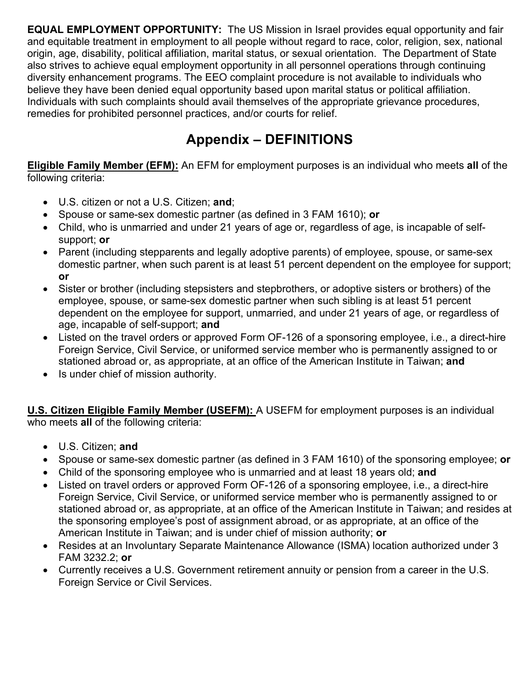**EQUAL EMPLOYMENT OPPORTUNITY:** The US Mission in Israel provides equal opportunity and fair and equitable treatment in employment to all people without regard to race, color, religion, sex, national origin, age, disability, political affiliation, marital status, or sexual orientation. The Department of State also strives to achieve equal employment opportunity in all personnel operations through continuing diversity enhancement programs. The EEO complaint procedure is not available to individuals who believe they have been denied equal opportunity based upon marital status or political affiliation. Individuals with such complaints should avail themselves of the appropriate grievance procedures, remedies for prohibited personnel practices, and/or courts for relief.

# **Appendix – DEFINITIONS**

**Eligible Family Member (EFM):** An EFM for employment purposes is an individual who meets **all** of the following criteria:

- U.S. citizen or not a U.S. Citizen; **and**;
- Spouse or same-sex domestic partner (as defined in 3 FAM 1610); **or**
- Child, who is unmarried and under 21 years of age or, regardless of age, is incapable of selfsupport; **or**
- Parent (including stepparents and legally adoptive parents) of employee, spouse, or same-sex domestic partner, when such parent is at least 51 percent dependent on the employee for support; **or**
- Sister or brother (including stepsisters and stepbrothers, or adoptive sisters or brothers) of the employee, spouse, or same-sex domestic partner when such sibling is at least 51 percent dependent on the employee for support, unmarried, and under 21 years of age, or regardless of age, incapable of self-support; **and**
- Listed on the travel orders or approved Form OF-126 of a sponsoring employee, i.e., a direct-hire Foreign Service, Civil Service, or uniformed service member who is permanently assigned to or stationed abroad or, as appropriate, at an office of the American Institute in Taiwan; **and**
- Is under chief of mission authority.

**U.S. Citizen Eligible Family Member (USEFM):** A USEFM for employment purposes is an individual who meets **all** of the following criteria:

- U.S. Citizen; **and**
- Spouse or same-sex domestic partner (as defined in 3 FAM 1610) of the sponsoring employee; **or**
- Child of the sponsoring employee who is unmarried and at least 18 years old; **and**
- Listed on travel orders or approved Form OF-126 of a sponsoring employee, i.e., a direct-hire Foreign Service, Civil Service, or uniformed service member who is permanently assigned to or stationed abroad or, as appropriate, at an office of the American Institute in Taiwan; and resides at the sponsoring employee's post of assignment abroad, or as appropriate, at an office of the American Institute in Taiwan; and is under chief of mission authority; **or**
- Resides at an Involuntary Separate Maintenance Allowance (ISMA) location authorized under 3 FAM 3232.2; **or**
- Currently receives a U.S. Government retirement annuity or pension from a career in the U.S. Foreign Service or Civil Services.